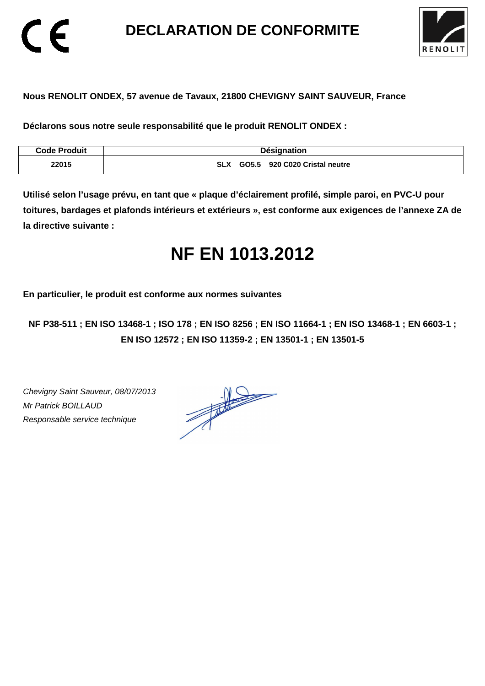**DECLARATION DE CONFORMITE** 



## **Nous RENOLIT ONDEX, 57 avenue de Tavaux, 21800 CHEVIGNY SAINT SAUVEUR, France**

**Déclarons sous notre seule responsabilité que le produit RENOLIT ONDEX :** 

| <b>Code Produit</b> | <b>Désignation</b>                             |
|---------------------|------------------------------------------------|
| 22015               | 920 C020 Cristal neutre<br><b>SLX</b><br>GO5.5 |

**Utilisé selon l'usage prévu, en tant que « plaque d'éclairement profilé, simple paroi, en PVC-U pour toitures, bardages et plafonds intérieurs et extérieurs », est conforme aux exigences de l'annexe ZA de la directive suivante :** 

# **NF EN 1013.2012**

**En particulier, le produit est conforme aux normes suivantes** 

**NF P38-511 ; EN ISO 13468-1 ; ISO 178 ; EN ISO 8256 ; EN ISO 11664-1 ; EN ISO 13468-1 ; EN 6603-1 ; EN ISO 12572 ; EN ISO 11359-2 ; EN 13501-1 ; EN 13501-5**

Chevigny Saint Sauveur, 08/07/2013 Mr Patrick BOILLAUD Responsable service technique

 $\epsilon$ 

 $\frac{1}{\sqrt{2\pi}}\int_{0}^{\frac{1}{2}}\frac{dx}{(x-y)^{2}}\,dy\,dy=0$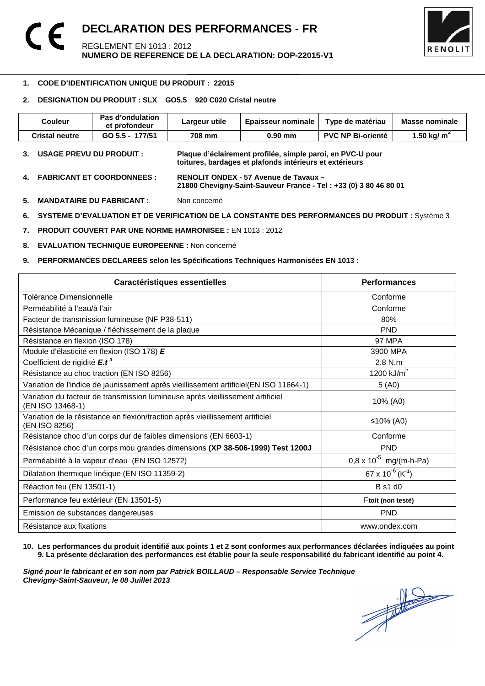

### 1 **1. CODE D'IDENTIFICATION UNIQUE DU PRODUIT : 22015**

## **2. DESIGNATION DU PRODUIT : SLX GO5.5 920 C020 Cristal neutre**

| <b>Couleur</b>                    | Pas d'ondulation<br>et profondeur | Largeur utile | <b>Epaisseur nominale</b>                                                                                             | Type de matériau         | Masse nominale |
|-----------------------------------|-----------------------------------|---------------|-----------------------------------------------------------------------------------------------------------------------|--------------------------|----------------|
| <b>Cristal neutre</b>             | GO 5.5 - 177/51                   | 708 mm        | $0.90$ mm                                                                                                             | <b>PVC NP Bi-orienté</b> | 1.50 kg/ $m2$  |
| <b>USAGE PREVU DU PRODUIT :</b>   |                                   |               | Plaque d'éclairement profilée, simple paroi, en PVC-U pour<br>toitures, bardages et plafonds intérieurs et extérieurs |                          |                |
| <b>FABRICANT ET COORDONNEES :</b> |                                   |               | RENOLIT ONDEX - 57 Avenue de Tavaux -                                                                                 |                          |                |

- **21800 Chevigny-Saint-Sauveur France Tel : +33 (0) 3 80 46 80 01**
- **5. MANDATAIRE DU FABRICANT :** Non concerné
- **6. SYSTEME D'EVALUATION ET DE VERIFICATION DE LA CONSTANTE DES PERFORMANCES DU PRODUIT :** Système 3
- **7. PRODUIT COUVERT PAR UNE NORME HAMRONISEE :** EN 1013 : 2012
- **8. EVALUATION TECHNIQUE EUROPEENNE :** Non concerné
- **9. PERFORMANCES DECLAREES selon les Spécifications Techniques Harmonisées EN 1013 :**

| Caractéristiques essentielles                                                                      | <b>Performances</b>                      |
|----------------------------------------------------------------------------------------------------|------------------------------------------|
| Tolérance Dimensionnelle                                                                           | Conforme                                 |
| Perméabilité à l'eau/à l'air                                                                       | Conforme                                 |
| Facteur de transmission lumineuse (NF P38-511)                                                     | 80%                                      |
| Résistance Mécanique / fléchissement de la plaque                                                  | <b>PND</b>                               |
| Résistance en flexion (ISO 178)                                                                    | 97 MPA                                   |
| Module d'élasticité en flexion (ISO 178) E                                                         | 3900 MPA                                 |
| Coefficient de rigidité E.t <sup>3</sup>                                                           | 2.8 N.m                                  |
| Résistance au choc traction (EN ISO 8256)                                                          | 1200 $kJ/m^2$                            |
| Variation de l'indice de jaunissement après vieillissement artificiel(EN ISO 11664-1)              | 5(40)                                    |
| Variation du facteur de transmission lumineuse après vieillissement artificiel<br>(EN ISO 13468-1) | 10% (A0)                                 |
| Variation de la résistance en flexion/traction après vieillissement artificiel<br>(EN ISO 8256)    | ≤10% (A0)                                |
| Résistance choc d'un corps dur de faibles dimensions (EN 6603-1)                                   | Conforme                                 |
| Résistance choc d'un corps mou grandes dimensions (XP 38-506-1999) Test 1200J                      | <b>PND</b>                               |
| Perméabilité à la vapeur d'eau (EN ISO 12572)                                                      | $0.8 \times 10^{-5}$ mg/(m-h-Pa)         |
| Dilatation thermique linéique (EN ISO 11359-2)                                                     | 67 x 10 <sup>-6</sup> (K <sup>-1</sup> ) |
| Réaction feu (EN 13501-1)                                                                          | <b>B</b> s1 d0                           |
| Performance feu extérieur (EN 13501-5)                                                             | Ftoit (non testé)                        |
| Emission de substances dangereuses                                                                 | <b>PND</b>                               |
| Résistance aux fixations                                                                           | www.ondex.com                            |

**10. Les performances du produit identifié aux points 1 et 2 sont conformes aux performances déclarées indiquées au point 9. La présente déclaration des performances est établie pour la seule responsabilité du fabricant identifié au point 4.** 

Signé pour le fabricant et en son nom par Patrick BOILLAUD – Responsable Service Technique<br>Chevigny-Saint-Sauveur, le 08 Juillet 2013<br> **Chevigny-Saint-Sauveur, le 08 Juillet 2013 Chevigny-Saint-Sauveur, le 08 Juillet 2013**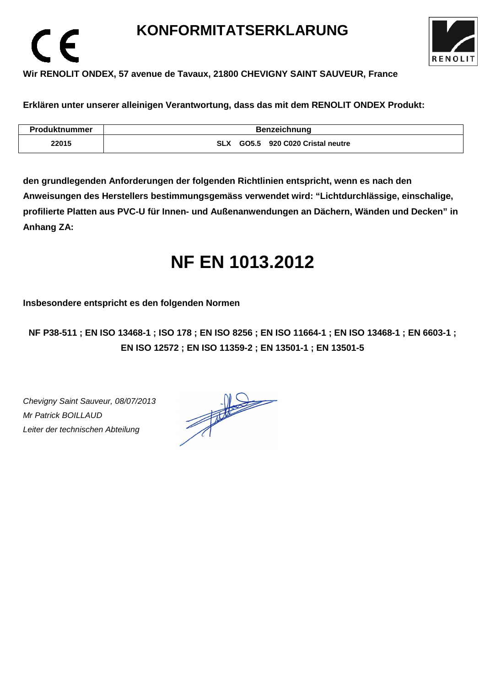# **KONFORMITATSERKLARUNG**



# **Wir RENOLIT ONDEX, 57 avenue de Tavaux, 21800 CHEVIGNY SAINT SAUVEUR, France**

**Erklären unter unserer alleinigen Verantwortung, dass das mit dem RENOLIT ONDEX Produkt:** 

| <b>Produktnummer</b> | <b>Benzeichnung</b>                         |  |  |  |
|----------------------|---------------------------------------------|--|--|--|
| 22015                | GO5.5 920 C020 Cristal neutre<br><b>SLX</b> |  |  |  |

**den grundlegenden Anforderungen der folgenden Richtlinien entspricht, wenn es nach den Anweisungen des Herstellers bestimmungsgemäss verwendet wird: "Lichtdurchlässige, einschalige, profilierte Platten aus PVC-U für Innen- und Außenanwendungen an Dächern, Wänden und Decken" in Anhang ZA:** 

# **NF EN 1013.2012**

**Insbesondere entspricht es den folgenden Normen** 

**NF P38-511 ; EN ISO 13468-1 ; ISO 178 ; EN ISO 8256 ; EN ISO 11664-1 ; EN ISO 13468-1 ; EN 6603-1 ; EN ISO 12572 ; EN ISO 11359-2 ; EN 13501-1 ; EN 13501-5**

Chevigny Saint Sauveur, 08/07/2013 Mr Patrick BOILLAUD Leiter der technischen Abteilung

 $\epsilon$ 

 $\frac{1}{\sqrt{1-\frac{1}{2}}}\left\vert \frac{1}{\sqrt{1-\frac{1}{2}}}\right\vert = \frac{1}{\sqrt{1-\frac{1}{2}}}\left\vert \frac{1}{\sqrt{1-\frac{1}{2}}}\right\vert.$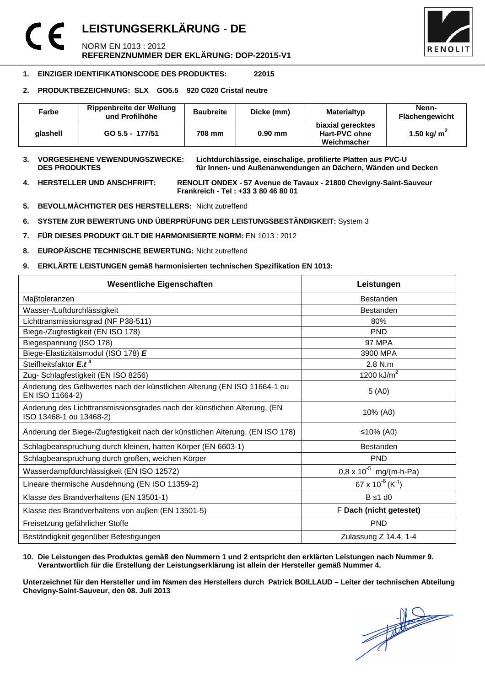# **LEISTUNGSERKLÄRUNG - DE**  NORM EN 1013 : 2012 **REFERENZNUMMER DER EKLÄRUNG: DOP-22015-V1**



## **1. EINZIGER IDENTIFIKATIONSCODE DES PRODUKTES: 22015**

## **2. PRODUKTBEZEICHNUNG: SLX GO5.5 920 C020 Cristal neutre**

| Farbe    | <b>Rippenbreite der Wellung</b><br>und Profilhöhe | <b>Baubreite</b> | Dicke (mm) | Materialtyp                                       | Nenn-<br><b>Flächengewicht</b> |
|----------|---------------------------------------------------|------------------|------------|---------------------------------------------------|--------------------------------|
| alashell | GO 5.5 - 177/51                                   | 708 mm           | $0.90$ mm  | biaxial gerecktes<br>Hart-PVC ohne<br>Weichmacher | 1.50 kg/ $m2$                  |

**3. VORGESEHENE VEWENDUNGSZWECKE: Lichtdurchlässige, einschalige, profilierte Platten aus PVC-U**  für Innen- und Außenanwendungen an Dächern, Wänden und Decken

**4. HERSTELLER UND ANSCHFRIFT: RENOLIT ONDEX - 57 Avenue de Tavaux - 21800 Chevigny-Saint-Sauveur Frankreich - Tel : +33 3 80 46 80 01** 

- **5. BEVOLLMÄCHTIGTER DES HERSTELLERS:** Nicht zutreffend
- **6. SYSTEM ZUR BEWERTUNG UND ÜBERPRÜFUNG DER LEISTUNGSBESTÄNDIGKEIT:** System 3
- **7. FÜR DIESES PRODUKT GILT DIE HARMONISIERTE NORM:** EN 1013 : 2012
- **8. EUROPÄISCHE TECHNISCHE BEWERTUNG:** Nicht zutreffend
- **9. ERKLÄRTE LEISTUNGEN gemäß harmonisierten technischen Spezifikation EN 1013:**

| <b>Wesentliche Eigenschaften</b>                                                                    | Leistungen                               |  |
|-----------------------------------------------------------------------------------------------------|------------------------------------------|--|
| Maßtoleranzen                                                                                       | <b>Bestanden</b>                         |  |
| Wasser-/Luftdurchlässigkeit                                                                         | Bestanden                                |  |
| Lichttransmissionsgrad (NF P38-511)                                                                 | 80%                                      |  |
| Biege-/Zugfestigkeit (EN ISO 178)                                                                   | <b>PND</b>                               |  |
| Biegespannung (ISO 178)                                                                             | <b>97 MPA</b>                            |  |
| Biege-Elastizitätsmodul (ISO 178) E                                                                 | 3900 MPA                                 |  |
| Steifheitsfaktor E.t <sup>3</sup>                                                                   | 2.8 N.m                                  |  |
| Zug- Schlagfestigkeit (EN ISO 8256)                                                                 | 1200 $kJ/m2$                             |  |
| Änderung des Gelbwertes nach der künstlichen Alterung (EN ISO 11664-1 ou<br>EN ISO 11664-2)         | 5(40)                                    |  |
| Änderung des Lichttransmissionsgrades nach der künstlichen Alterung, (EN<br>ISO 13468-1 ou 13468-2) | 10% (A0)                                 |  |
| Änderung der Biege-/Zugfestigkeit nach der künstlichen Alterung, (EN ISO 178)                       | ≤10% (A0)                                |  |
| Schlagbeanspruchung durch kleinen, harten Körper (EN 6603-1)                                        | <b>Bestanden</b>                         |  |
| Schlagbeanspruchung durch großen, weichen Körper                                                    | <b>PND</b>                               |  |
| Wasserdampfdurchlässigkeit (EN ISO 12572)                                                           | $0.8 \times 10^{-5}$ mg/(m-h-Pa)         |  |
| Lineare thermische Ausdehnung (EN ISO 11359-2)                                                      | 67 x 10 <sup>-6</sup> (K <sup>-1</sup> ) |  |
| Klasse des Brandverhaltens (EN 13501-1)                                                             | <b>B</b> s1 d0                           |  |
| Klasse des Brandverhaltens von außen (EN 13501-5)                                                   | F Dach (nicht getestet)                  |  |
| Freisetzung gefährlicher Stoffe                                                                     | <b>PND</b>                               |  |
| Beständigkeit gegenüber Befestigungen                                                               | Zulassung Z 14.4. 1-4                    |  |

### **10. Die Leistungen des Produktes gemäß den Nummern 1 und 2 entspricht den erklärten Leistungen nach Nummer 9. Verantwortlich für die Erstellung der Leistungserklärung ist allein der Hersteller gemäß Nummer 4.**

**Unterzeichnet für den Hersteller und im Namen des Herstellers durch Patrick BOILLAUD – Leiter der technischen Abteilung Chevigny-Saint-Sauveur, den 08. Juli 2013**

 $\frac{1}{\sqrt{2}}$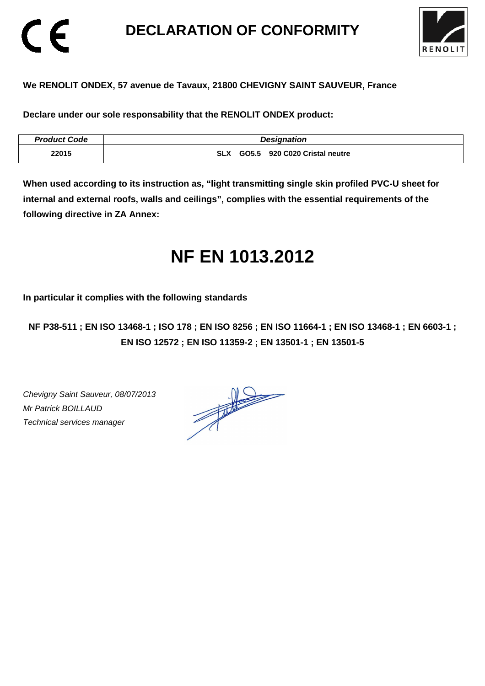# **DECLARATION OF CONFORMITY**



## **We RENOLIT ONDEX, 57 avenue de Tavaux, 21800 CHEVIGNY SAINT SAUVEUR, France**

**Declare under our sole responsability that the RENOLIT ONDEX product:** 

| <b>Product Code</b> | <b>Designation</b>                          |
|---------------------|---------------------------------------------|
| 22015               | GO5.5 920 C020 Cristal neutre<br><b>SLX</b> |

**When used according to its instruction as, "light transmitting single skin profiled PVC-U sheet for internal and external roofs, walls and ceilings", complies with the essential requirements of the following directive in ZA Annex:** 

# **NF EN 1013.2012**

**In particular it complies with the following standards** 

**NF P38-511 ; EN ISO 13468-1 ; ISO 178 ; EN ISO 8256 ; EN ISO 11664-1 ; EN ISO 13468-1 ; EN 6603-1 ; EN ISO 12572 ; EN ISO 11359-2 ; EN 13501-1 ; EN 13501-5**

Chevigny Saint Sauveur, 08/07/2013 Mr Patrick BOILLAUD Technical services manager

CE

 $\frac{1}{\sqrt{2}}$